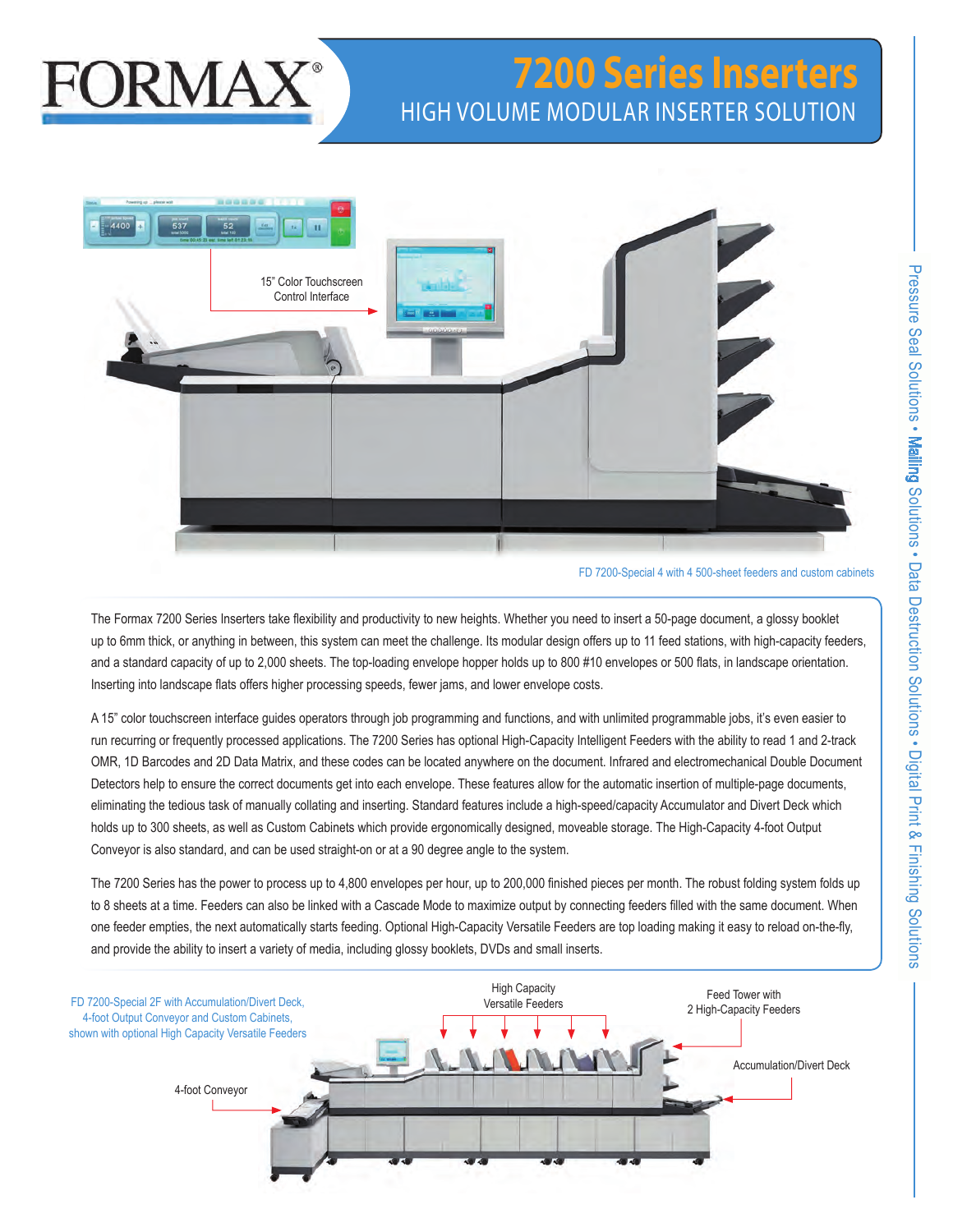# **FORMAX**

# **7200 Series Inserters** HIGH VOLUME MODULAR INSERTER SOLUTION



FD 7200-Special 4 with 4 500-sheet feeders and custom cabinets

The Formax 7200 Series Inserters take flexibility and productivity to new heights. Whether you need to insert a 50-page document, a glossy booklet up to 6mm thick, or anything in between, this system can meet the challenge. Its modular design offers up to 11 feed stations, with high-capacity feeders, and a standard capacity of up to 2,000 sheets. The top-loading envelope hopper holds up to 800 #10 envelopes or 500 flats, in landscape orientation. Inserting into landscape flats offers higher processing speeds, fewer jams, and lower envelope costs.

A 15" color touchscreen interface guides operators through job programming and functions, and with unlimited programmable jobs, it's even easier to run recurring or frequently processed applications. The 7200 Series has optional High-Capacity Intelligent Feeders with the ability to read 1 and 2-track OMR, 1D Barcodes and 2D Data Matrix, and these codes can be located anywhere on the document. Infrared and electromechanical Double Document Detectors help to ensure the correct documents get into each envelope. These features allow for the automatic insertion of multiple-page documents, eliminating the tedious task of manually collating and inserting. Standard features include a high-speed/capacity Accumulator and Divert Deck which holds up to 300 sheets, as well as Custom Cabinets which provide ergonomically designed, moveable storage. The High-Capacity 4-foot Output Conveyor is also standard, and can be used straight-on or at a 90 degree angle to the system.

The 7200 Series has the power to process up to 4,800 envelopes per hour, up to 200,000 finished pieces per month. The robust folding system folds up to 8 sheets at a time. Feeders can also be linked with a Cascade Mode to maximize output by connecting feeders filled with the same document. When one feeder empties, the next automatically starts feeding. Optional High-Capacity Versatile Feeders are top loading making it easy to reload on-the-fly, and provide the ability to insert a variety of media, including glossy booklets, DVDs and small inserts.